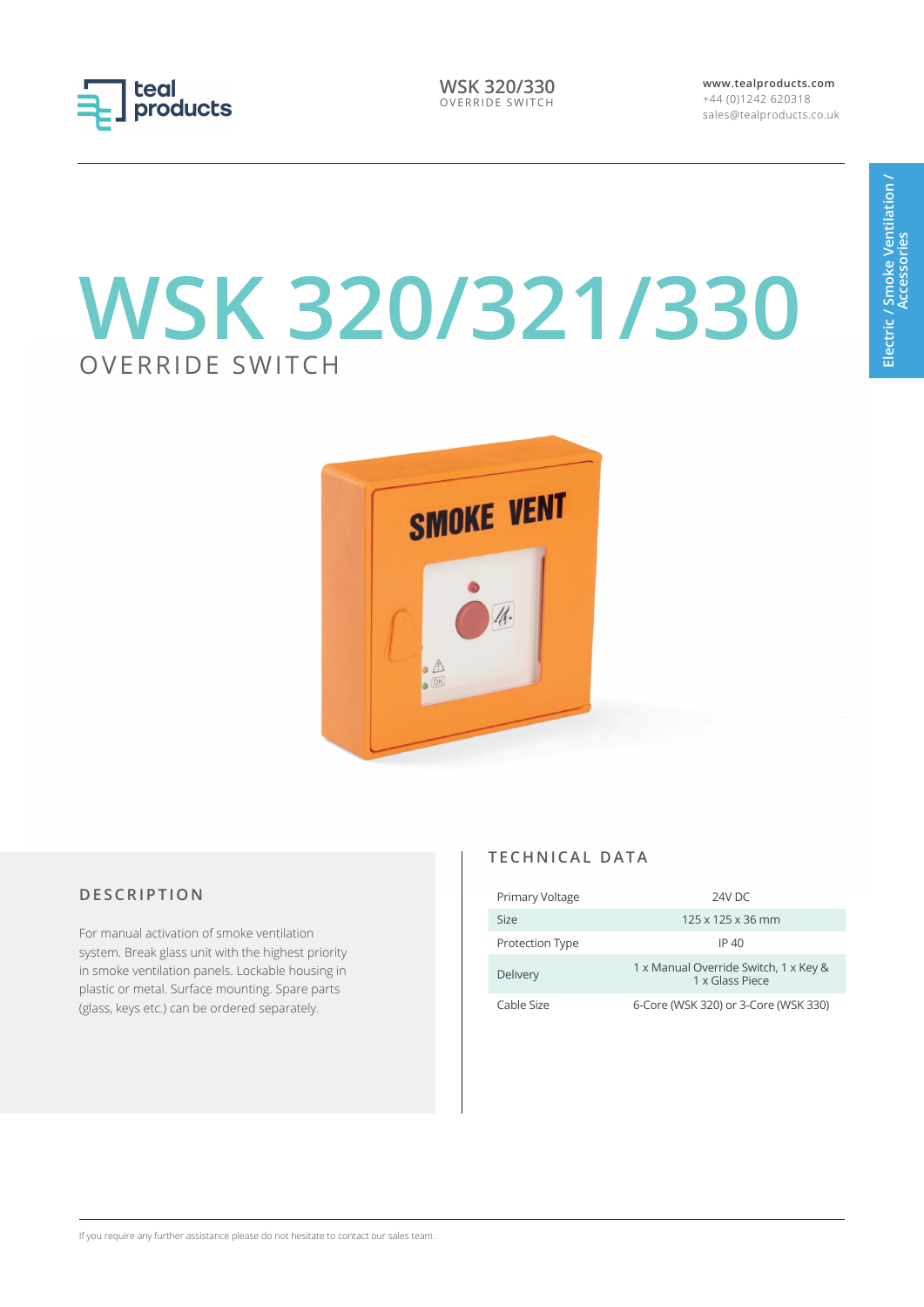

**WSK 320/330** OVERRIDE SWITCH **www.tealproducts.com** +44 (0)1242 620318 sales@tealproducts.co.uk

# **WSK 320/321/330** OVERRIDE SWITCH



# **D E S C R I P T I O N**

For manual activation of smoke ventilation system. Break glass unit with the highest priority in smoke ventilation panels. Lockable housing in plastic or metal. Surface mounting. Spare parts (glass, keys etc.) can be ordered separately.

#### **T E C H N I C A L D A T A**

| Primary Voltage | 24V DC                                                   |
|-----------------|----------------------------------------------------------|
| Size            | $125 \times 125 \times 36$ mm                            |
| Protection Type | IP 40                                                    |
| Delivery        | 1 x Manual Override Switch, 1 x Key &<br>1 x Glass Piece |
| Cable Size      | 6-Core (WSK 320) or 3-Core (WSK 330)                     |